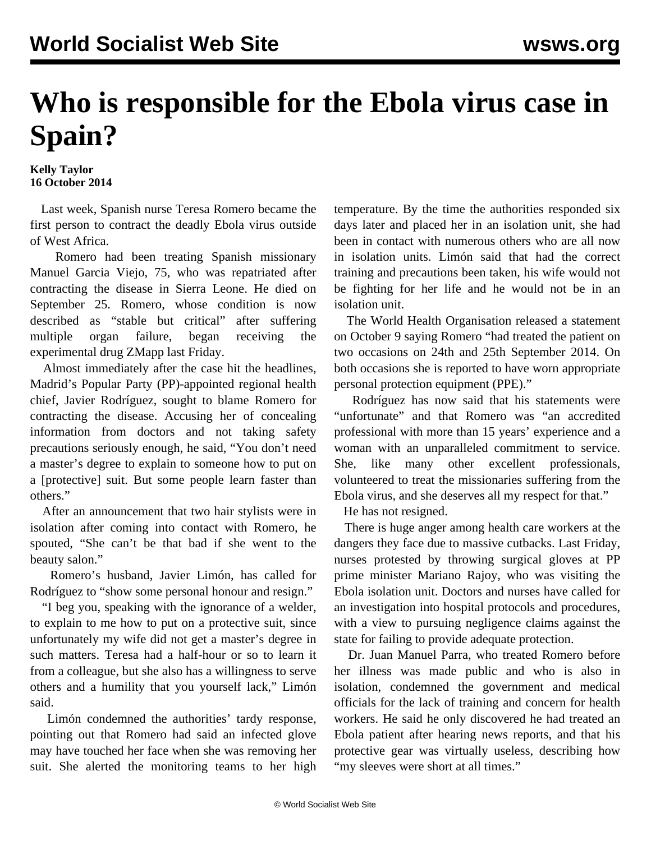## **Who is responsible for the Ebola virus case in Spain?**

## **Kelly Taylor 16 October 2014**

 Last week, Spanish nurse Teresa Romero became the first person to contract the deadly Ebola virus outside of West Africa.

 Romero had been treating Spanish missionary Manuel Garcia Viejo, 75, who was repatriated after contracting the disease in Sierra Leone. He died on September 25. Romero, whose condition is now described as "stable but critical" after suffering multiple organ failure, began receiving the experimental drug ZMapp last Friday.

 Almost immediately after the case hit the headlines, Madrid's Popular Party (PP)-appointed regional health chief, Javier Rodríguez, sought to blame Romero for contracting the disease. Accusing her of concealing information from doctors and not taking safety precautions seriously enough, he said, "You don't need a master's degree to explain to someone how to put on a [protective] suit. But some people learn faster than others."

 After an announcement that two hair stylists were in isolation after coming into contact with Romero, he spouted, "She can't be that bad if she went to the beauty salon."

 Romero's husband, Javier Limón, has called for Rodríguez to "show some personal honour and resign."

 "I beg you, speaking with the ignorance of a welder, to explain to me how to put on a protective suit, since unfortunately my wife did not get a master's degree in such matters. Teresa had a half-hour or so to learn it from a colleague, but she also has a willingness to serve others and a humility that you yourself lack," Limón said.

 Limón condemned the authorities' tardy response, pointing out that Romero had said an infected glove may have touched her face when she was removing her suit. She alerted the monitoring teams to her high temperature. By the time the authorities responded six days later and placed her in an isolation unit, she had been in contact with numerous others who are all now in isolation units. Limón said that had the correct training and precautions been taken, his wife would not be fighting for her life and he would not be in an isolation unit.

 The World Health Organisation released a statement on October 9 saying Romero "had treated the patient on two occasions on 24th and 25th September 2014. On both occasions she is reported to have worn appropriate personal protection equipment (PPE)."

 Rodríguez has now said that his statements were "unfortunate" and that Romero was "an accredited professional with more than 15 years' experience and a woman with an unparalleled commitment to service. She, like many other excellent professionals, volunteered to treat the missionaries suffering from the Ebola virus, and she deserves all my respect for that."

He has not resigned.

 There is huge anger among health care workers at the dangers they face due to massive cutbacks. Last Friday, nurses protested by throwing surgical gloves at PP prime minister Mariano Rajoy, who was visiting the Ebola isolation unit. Doctors and nurses have called for an investigation into hospital protocols and procedures, with a view to pursuing negligence claims against the state for failing to provide adequate protection.

 Dr. Juan Manuel Parra, who treated Romero before her illness was made public and who is also in isolation, condemned the government and medical officials for the lack of training and concern for health workers. He said he only discovered he had treated an Ebola patient after hearing news reports, and that his protective gear was virtually useless, describing how "my sleeves were short at all times."